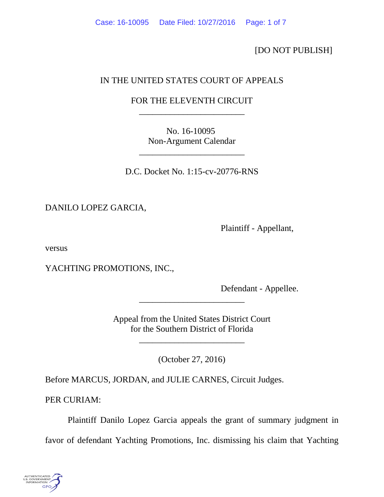[DO NOT PUBLISH]

# IN THE UNITED STATES COURT OF APPEALS

## FOR THE ELEVENTH CIRCUIT \_\_\_\_\_\_\_\_\_\_\_\_\_\_\_\_\_\_\_\_\_\_\_\_

No. 16-10095 Non-Argument Calendar

\_\_\_\_\_\_\_\_\_\_\_\_\_\_\_\_\_\_\_\_\_\_\_\_

D.C. Docket No. 1:15-cv-20776-RNS

DANILO LOPEZ GARCIA,

Plaintiff - Appellant,

versus

YACHTING PROMOTIONS, INC.,

Defendant - Appellee.

Appeal from the United States District Court for the Southern District of Florida

\_\_\_\_\_\_\_\_\_\_\_\_\_\_\_\_\_\_\_\_\_\_\_\_

(October 27, 2016)

\_\_\_\_\_\_\_\_\_\_\_\_\_\_\_\_\_\_\_\_\_\_\_\_

Before MARCUS, JORDAN, and JULIE CARNES, Circuit Judges.

PER CURIAM:

Plaintiff Danilo Lopez Garcia appeals the grant of summary judgment in

favor of defendant Yachting Promotions, Inc. dismissing his claim that Yachting

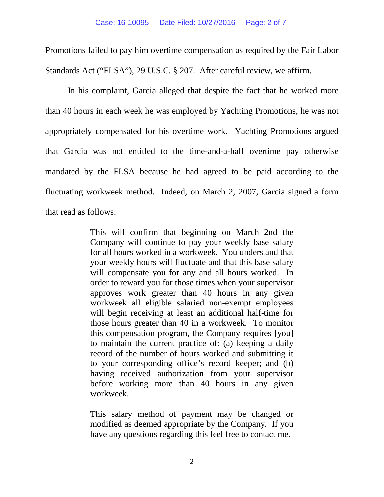Promotions failed to pay him overtime compensation as required by the Fair Labor Standards Act ("FLSA"), 29 U.S.C. § 207. After careful review, we affirm.

In his complaint, Garcia alleged that despite the fact that he worked more than 40 hours in each week he was employed by Yachting Promotions, he was not appropriately compensated for his overtime work. Yachting Promotions argued that Garcia was not entitled to the time-and-a-half overtime pay otherwise mandated by the FLSA because he had agreed to be paid according to the fluctuating workweek method. Indeed, on March 2, 2007, Garcia signed a form that read as follows:

> This will confirm that beginning on March 2nd the Company will continue to pay your weekly base salary for all hours worked in a workweek. You understand that your weekly hours will fluctuate and that this base salary will compensate you for any and all hours worked. In order to reward you for those times when your supervisor approves work greater than 40 hours in any given workweek all eligible salaried non-exempt employees will begin receiving at least an additional half-time for those hours greater than 40 in a workweek. To monitor this compensation program, the Company requires [you] to maintain the current practice of: (a) keeping a daily record of the number of hours worked and submitting it to your corresponding office's record keeper; and (b) having received authorization from your supervisor before working more than 40 hours in any given workweek.

> This salary method of payment may be changed or modified as deemed appropriate by the Company. If you have any questions regarding this feel free to contact me.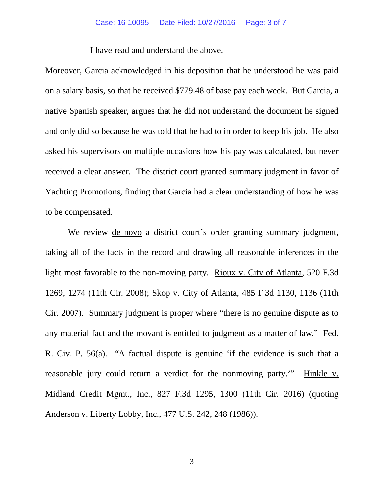### Case: 16-10095 Date Filed: 10/27/2016 Page: 3 of 7

I have read and understand the above.

Moreover, Garcia acknowledged in his deposition that he understood he was paid on a salary basis, so that he received \$779.48 of base pay each week. But Garcia, a native Spanish speaker, argues that he did not understand the document he signed and only did so because he was told that he had to in order to keep his job. He also asked his supervisors on multiple occasions how his pay was calculated, but never received a clear answer. The district court granted summary judgment in favor of Yachting Promotions, finding that Garcia had a clear understanding of how he was to be compensated.

We review de novo a district court's order granting summary judgment, taking all of the facts in the record and drawing all reasonable inferences in the light most favorable to the non-moving party. Rioux v. City of Atlanta, 520 F.3d 1269, 1274 (11th Cir. 2008); Skop v. City of Atlanta, 485 F.3d 1130, 1136 (11th Cir. 2007). Summary judgment is proper where "there is no genuine dispute as to any material fact and the movant is entitled to judgment as a matter of law." Fed. R. Civ. P. 56(a). "A factual dispute is genuine 'if the evidence is such that a reasonable jury could return a verdict for the nonmoving party.'" Hinkle v. Midland Credit Mgmt., Inc., 827 F.3d 1295, 1300 (11th Cir. 2016) (quoting Anderson v. Liberty Lobby, Inc., 477 U.S. 242, 248 (1986)).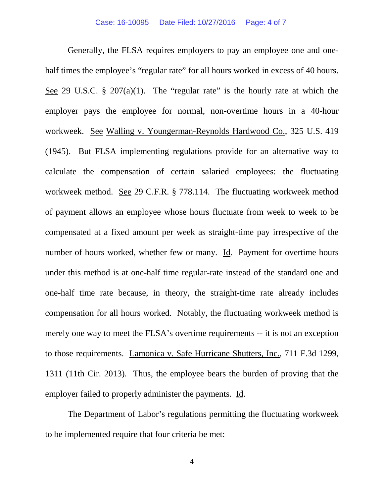Generally, the FLSA requires employers to pay an employee one and onehalf times the employee's "regular rate" for all hours worked in excess of 40 hours. See 29 U.S.C.  $\S$  207(a)(1). The "regular rate" is the hourly rate at which the employer pays the employee for normal, non-overtime hours in a 40-hour workweek. See Walling v. Youngerman-Reynolds Hardwood Co., 325 U.S. 419 (1945). But FLSA implementing regulations provide for an alternative way to calculate the compensation of certain salaried employees: the fluctuating workweek method. See 29 C.F.R. § 778.114. The fluctuating workweek method of payment allows an employee whose hours fluctuate from week to week to be compensated at a fixed amount per week as straight-time pay irrespective of the number of hours worked, whether few or many. Id. Payment for overtime hours under this method is at one-half time regular-rate instead of the standard one and one-half time rate because, in theory, the straight-time rate already includes compensation for all hours worked. Notably, the fluctuating workweek method is merely one way to meet the FLSA's overtime requirements -- it is not an exception to those requirements. Lamonica v. Safe Hurricane Shutters, Inc., 711 F.3d 1299, 1311 (11th Cir. 2013). Thus, the employee bears the burden of proving that the employer failed to properly administer the payments. Id.

The Department of Labor's regulations permitting the fluctuating workweek to be implemented require that four criteria be met: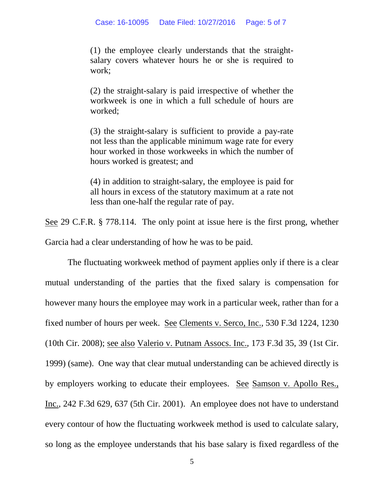(1) the employee clearly understands that the straightsalary covers whatever hours he or she is required to work;

(2) the straight-salary is paid irrespective of whether the workweek is one in which a full schedule of hours are worked;

(3) the straight-salary is sufficient to provide a pay-rate not less than the applicable minimum wage rate for every hour worked in those workweeks in which the number of hours worked is greatest; and

(4) in addition to straight-salary, the employee is paid for all hours in excess of the statutory maximum at a rate not less than one-half the regular rate of pay.

See 29 C.F.R. § 778.114. The only point at issue here is the first prong, whether Garcia had a clear understanding of how he was to be paid.

The fluctuating workweek method of payment applies only if there is a clear mutual understanding of the parties that the fixed salary is compensation for however many hours the employee may work in a particular week, rather than for a fixed number of hours per week. See Clements v. Serco, Inc., 530 F.3d 1224, 1230 (10th Cir. 2008); see also Valerio v. Putnam Assocs. Inc., 173 F.3d 35, 39 (1st Cir. 1999) (same). One way that clear mutual understanding can be achieved directly is by employers working to educate their employees. See Samson v. Apollo Res., Inc., 242 F.3d 629, 637 (5th Cir. 2001). An employee does not have to understand every contour of how the fluctuating workweek method is used to calculate salary, so long as the employee understands that his base salary is fixed regardless of the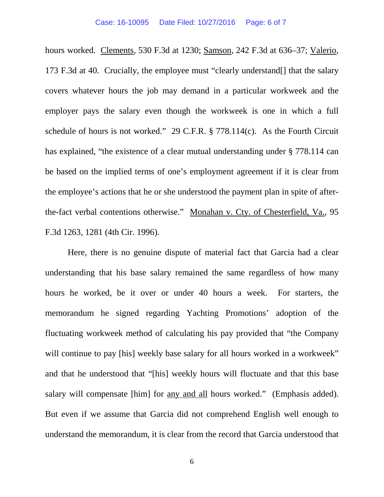hours worked. Clements, 530 F.3d at 1230; Samson, 242 F.3d at 636–37; Valerio, 173 F.3d at 40. Crucially, the employee must "clearly understand[] that the salary covers whatever hours the job may demand in a particular workweek and the employer pays the salary even though the workweek is one in which a full schedule of hours is not worked." 29 C.F.R. § 778.114(c). As the Fourth Circuit has explained, "the existence of a clear mutual understanding under § 778.114 can be based on the implied terms of one's employment agreement if it is clear from the employee's actions that he or she understood the payment plan in spite of afterthe-fact verbal contentions otherwise." Monahan v. Cty. of Chesterfield, Va., 95 F.3d 1263, 1281 (4th Cir. 1996).

Here, there is no genuine dispute of material fact that Garcia had a clear understanding that his base salary remained the same regardless of how many hours he worked, be it over or under 40 hours a week. For starters, the memorandum he signed regarding Yachting Promotions' adoption of the fluctuating workweek method of calculating his pay provided that "the Company will continue to pay [his] weekly base salary for all hours worked in a workweek" and that he understood that "[his] weekly hours will fluctuate and that this base salary will compensate [him] for any and all hours worked." (Emphasis added). But even if we assume that Garcia did not comprehend English well enough to understand the memorandum, it is clear from the record that Garcia understood that